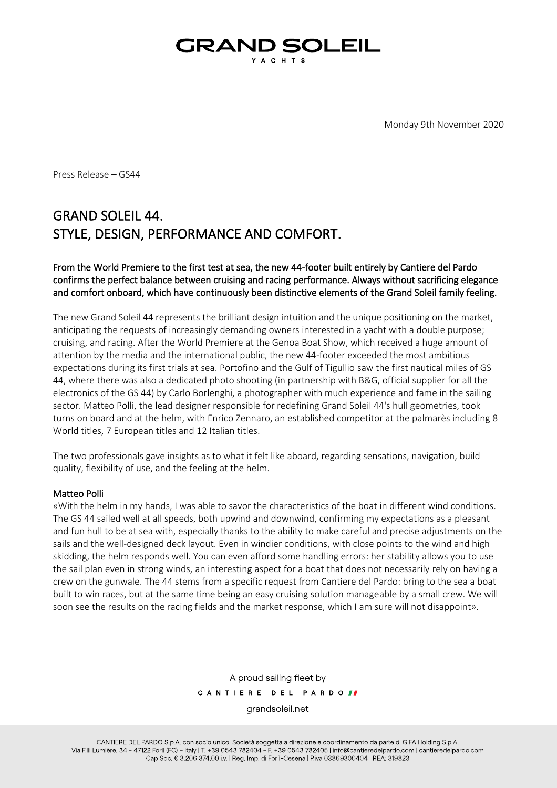## GRAND SOLEIL Y A C H T S

Monday 9th November 2020

Press Release – GS44

# GRAND SOLEIL 44. STYLE, DESIGN, PERFORMANCE AND COMFORT.

## From the World Premiere to the first test at sea, the new 44-footer built entirely by Cantiere del Pardo confirms the perfect balance between cruising and racing performance. Always without sacrificing elegance and comfort onboard, which have continuously been distinctive elements of the Grand Soleil family feeling.

The new Grand Soleil 44 represents the brilliant design intuition and the unique positioning on the market, anticipating the requests of increasingly demanding owners interested in a yacht with a double purpose; cruising, and racing. After the World Premiere at the Genoa Boat Show, which received a huge amount of attention by the media and the international public, the new 44-footer exceeded the most ambitious expectations during its first trials at sea. Portofino and the Gulf of Tigullio saw the first nautical miles of GS 44, where there was also a dedicated photo shooting (in partnership with B&G, official supplier for all the electronics of the GS 44) by Carlo Borlenghi, a photographer with much experience and fame in the sailing sector. Matteo Polli, the lead designer responsible for redefining Grand Soleil 44's hull geometries, took turns on board and at the helm, with Enrico Zennaro, an established competitor at the palmarès including 8 World titles, 7 European titles and 12 Italian titles.

The two professionals gave insights as to what it felt like aboard, regarding sensations, navigation, build quality, flexibility of use, and the feeling at the helm.

#### Matteo Polli

«With the helm in my hands, I was able to savor the characteristics of the boat in different wind conditions. The GS 44 sailed well at all speeds, both upwind and downwind, confirming my expectations as a pleasant and fun hull to be at sea with, especially thanks to the ability to make careful and precise adjustments on the sails and the well-designed deck layout. Even in windier conditions, with close points to the wind and high skidding, the helm responds well. You can even afford some handling errors: her stability allows you to use the sail plan even in strong winds, an interesting aspect for a boat that does not necessarily rely on having a crew on the gunwale. The 44 stems from a specific request from Cantiere del Pardo: bring to the sea a boat built to win races, but at the same time being an easy cruising solution manageable by a small crew. We will soon see the results on the racing fields and the market response, which I am sure will not disappoint».

> A proud sailing fleet by CANTIERE DEL PARDOII grandsoleil net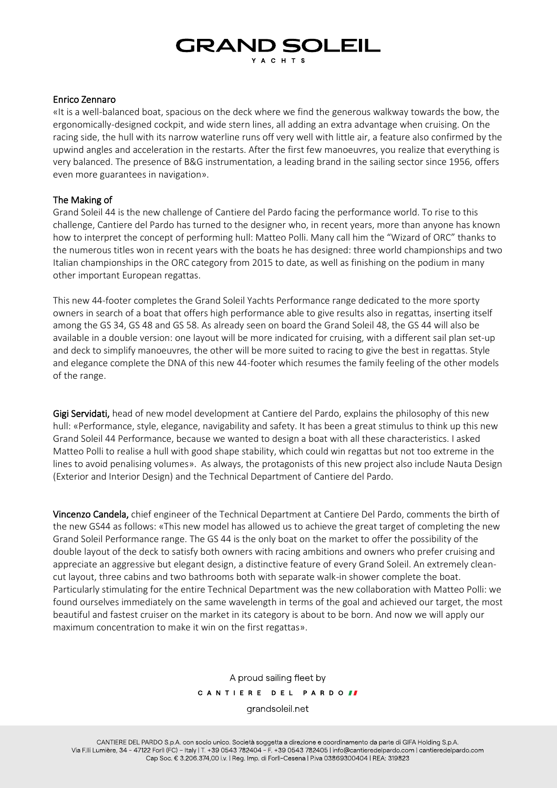# **GRAND SOLEIL** Y A C H T S

#### Enrico Zennaro

«It is a well-balanced boat, spacious on the deck where we find the generous walkway towards the bow, the ergonomically-designed cockpit, and wide stern lines, all adding an extra advantage when cruising. On the racing side, the hull with its narrow waterline runs off very well with little air, a feature also confirmed by the upwind angles and acceleration in the restarts. After the first few manoeuvres, you realize that everything is very balanced. The presence of B&G instrumentation, a leading brand in the sailing sector since 1956, offers even more guarantees in navigation».

## The Making of

Grand Soleil 44 is the new challenge of Cantiere del Pardo facing the performance world. To rise to this challenge, Cantiere del Pardo has turned to the designer who, in recent years, more than anyone has known how to interpret the concept of performing hull: Matteo Polli. Many call him the "Wizard of ORC" thanks to the numerous titles won in recent years with the boats he has designed: three world championships and two Italian championships in the ORC category from 2015 to date, as well as finishing on the podium in many other important European regattas.

This new 44-footer completes the Grand Soleil Yachts Performance range dedicated to the more sporty owners in search of a boat that offers high performance able to give results also in regattas, inserting itself among the GS 34, GS 48 and GS 58. As already seen on board the Grand Soleil 48, the GS 44 will also be available in a double version: one layout will be more indicated for cruising, with a different sail plan set-up and deck to simplify manoeuvres, the other will be more suited to racing to give the best in regattas. Style and elegance complete the DNA of this new 44-footer which resumes the family feeling of the other models of the range.

Gigi Servidati, head of new model development at Cantiere del Pardo, explains the philosophy of this new hull: «Performance, style, elegance, navigability and safety. It has been a great stimulus to think up this new Grand Soleil 44 Performance, because we wanted to design a boat with all these characteristics. I asked Matteo Polli to realise a hull with good shape stability, which could win regattas but not too extreme in the lines to avoid penalising volumes». As always, the protagonists of this new project also include Nauta Design (Exterior and Interior Design) and the Technical Department of Cantiere del Pardo.

Vincenzo Candela, chief engineer of the Technical Department at Cantiere Del Pardo, comments the birth of the new GS44 as follows: «This new model has allowed us to achieve the great target of completing the new Grand Soleil Performance range. The GS 44 is the only boat on the market to offer the possibility of the double layout of the deck to satisfy both owners with racing ambitions and owners who prefer cruising and appreciate an aggressive but elegant design, a distinctive feature of every Grand Soleil. An extremely cleancut layout, three cabins and two bathrooms both with separate walk-in shower complete the boat. Particularly stimulating for the entire Technical Department was the new collaboration with Matteo Polli: we found ourselves immediately on the same wavelength in terms of the goal and achieved our target, the most beautiful and fastest cruiser on the market in its category is about to be born. And now we will apply our maximum concentration to make it win on the first regattas».

> A proud sailing fleet by CANTIERE DEL PARDOII grandsoleil net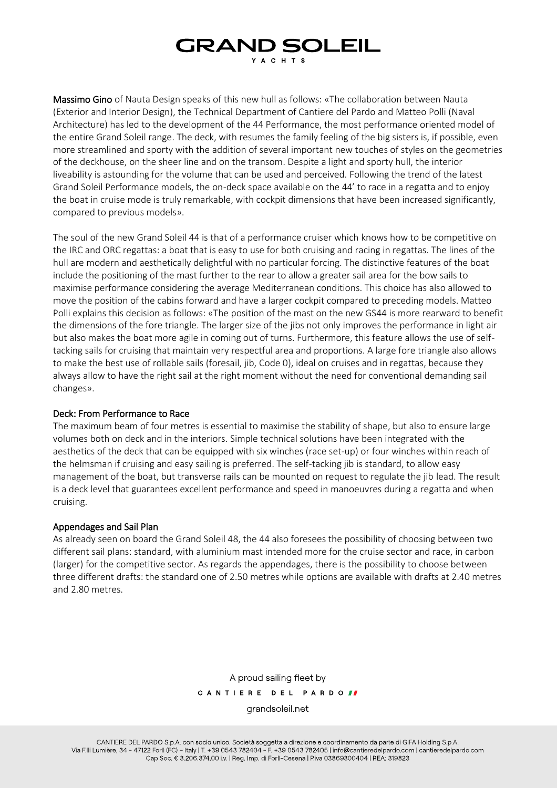# **GRAND SOLEIL YACHTS**

Massimo Gino of Nauta Design speaks of this new hull as follows: «The collaboration between Nauta (Exterior and Interior Design), the Technical Department of Cantiere del Pardo and Matteo Polli (Naval Architecture) has led to the development of the 44 Performance, the most performance oriented model of the entire Grand Soleil range. The deck, with resumes the family feeling of the big sisters is, if possible, even more streamlined and sporty with the addition of several important new touches of styles on the geometries of the deckhouse, on the sheer line and on the transom. Despite a light and sporty hull, the interior liveability is astounding for the volume that can be used and perceived. Following the trend of the latest Grand Soleil Performance models, the on-deck space available on the 44' to race in a regatta and to enjoy the boat in cruise mode is truly remarkable, with cockpit dimensions that have been increased significantly, compared to previous models».

The soul of the new Grand Soleil 44 is that of a performance cruiser which knows how to be competitive on the IRC and ORC regattas: a boat that is easy to use for both cruising and racing in regattas. The lines of the hull are modern and aesthetically delightful with no particular forcing. The distinctive features of the boat include the positioning of the mast further to the rear to allow a greater sail area for the bow sails to maximise performance considering the average Mediterranean conditions. This choice has also allowed to move the position of the cabins forward and have a larger cockpit compared to preceding models. Matteo Polli explains this decision as follows: «The position of the mast on the new GS44 is more rearward to benefit the dimensions of the fore triangle. The larger size of the jibs not only improves the performance in light air but also makes the boat more agile in coming out of turns. Furthermore, this feature allows the use of selftacking sails for cruising that maintain very respectful area and proportions. A large fore triangle also allows to make the best use of rollable sails (foresail, jib, Code 0), ideal on cruises and in regattas, because they always allow to have the right sail at the right moment without the need for conventional demanding sail changes».

#### Deck: From Performance to Race

The maximum beam of four metres is essential to maximise the stability of shape, but also to ensure large volumes both on deck and in the interiors. Simple technical solutions have been integrated with the aesthetics of the deck that can be equipped with six winches (race set-up) or four winches within reach of the helmsman if cruising and easy sailing is preferred. The self-tacking jib is standard, to allow easy management of the boat, but transverse rails can be mounted on request to regulate the jib lead. The result is a deck level that guarantees excellent performance and speed in manoeuvres during a regatta and when cruising.

## Appendages and Sail Plan

As already seen on board the Grand Soleil 48, the 44 also foresees the possibility of choosing between two different sail plans: standard, with aluminium mast intended more for the cruise sector and race, in carbon (larger) for the competitive sector. As regards the appendages, there is the possibility to choose between three different drafts: the standard one of 2.50 metres while options are available with drafts at 2.40 metres and 2.80 metres.

> A proud sailing fleet by CANTIERE DEL PARDOII

grandsoleil net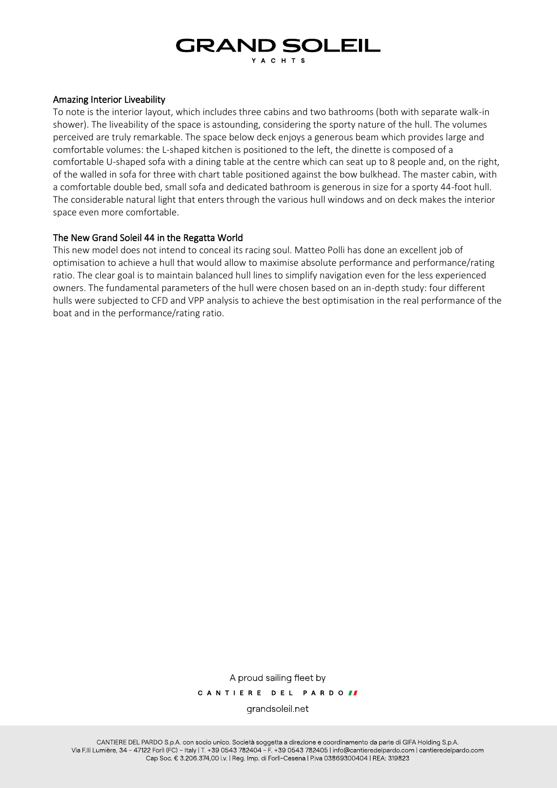# **GRAND SOLEIL YACHTS**

#### Amazing Interior Liveability

To note is the interior layout, which includes three cabins and two bathrooms (both with separate walk-in shower). The liveability of the space is astounding, considering the sporty nature of the hull. The volumes perceived are truly remarkable. The space below deck enjoys a generous beam which provides large and comfortable volumes: the L-shaped kitchen is positioned to the left, the dinette is composed of a comfortable U-shaped sofa with a dining table at the centre which can seat up to 8 people and, on the right, of the walled in sofa for three with chart table positioned against the bow bulkhead. The master cabin, with a comfortable double bed, small sofa and dedicated bathroom is generous in size for a sporty 44-foot hull. The considerable natural light that enters through the various hull windows and on deck makes the interior space even more comfortable.

## The New Grand Soleil 44 in the Regatta World

This new model does not intend to conceal its racing soul. Matteo Polli has done an excellent job of optimisation to achieve a hull that would allow to maximise absolute performance and performance/rating ratio. The clear goal is to maintain balanced hull lines to simplify navigation even for the less experienced owners. The fundamental parameters of the hull were chosen based on an in-depth study: four different hulls were subjected to CFD and VPP analysis to achieve the best optimisation in the real performance of the boat and in the performance/rating ratio.

> A proud sailing fleet by CANTIERE DEL PARDOIT grandsoleil net